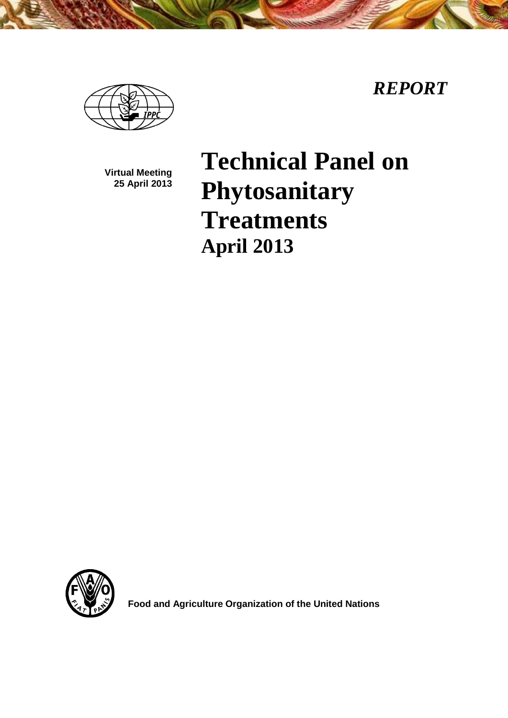*REPORT*



**Virtual Meeting 25 April 2013**

# **Technical Panel on Phytosanitary Treatments April 2013**



**Food and Agriculture Organization of the United Nations**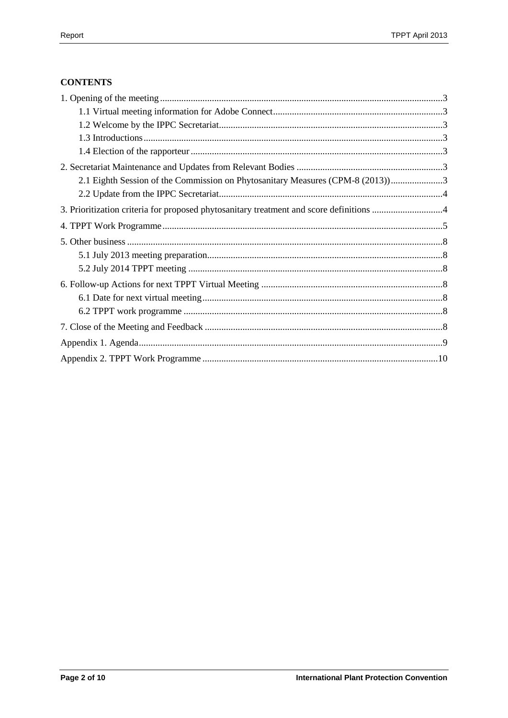# **CONTENTS**

| 2.1 Eighth Session of the Commission on Phytosanitary Measures (CPM-8 (2013))3          |  |
|-----------------------------------------------------------------------------------------|--|
|                                                                                         |  |
| 3. Prioritization criteria for proposed phytosanitary treatment and score definitions 4 |  |
|                                                                                         |  |
|                                                                                         |  |
|                                                                                         |  |
|                                                                                         |  |
|                                                                                         |  |
|                                                                                         |  |
|                                                                                         |  |
|                                                                                         |  |
|                                                                                         |  |
|                                                                                         |  |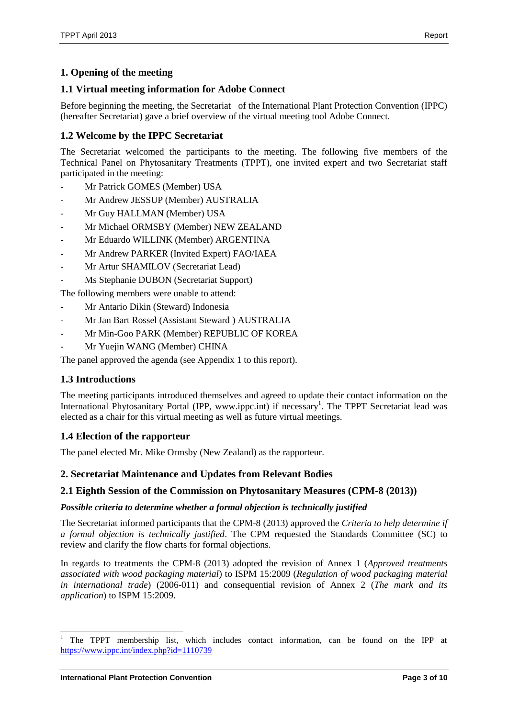# <span id="page-2-0"></span>**1. Opening of the meeting**

# <span id="page-2-1"></span>**1.1 Virtual meeting information for Adobe Connect**

Before beginning the meeting, the Secretariat of the International Plant Protection Convention (IPPC) (hereafter Secretariat) gave a brief overview of the virtual meeting tool Adobe Connect.

# <span id="page-2-2"></span>**1.2 Welcome by the IPPC Secretariat**

The Secretariat welcomed the participants to the meeting. The following five members of the Technical Panel on Phytosanitary Treatments (TPPT), one invited expert and two Secretariat staff participated in the meeting:

- Mr Patrick GOMES (Member) USA
- Mr Andrew JESSUP (Member) AUSTRALIA
- Mr Guy HALLMAN (Member) USA
- Mr Michael ORMSBY (Member) NEW ZEALAND
- Mr Eduardo WILLINK (Member) ARGENTINA
- Mr Andrew PARKER (Invited Expert) FAO/IAEA
- Mr Artur SHAMILOV (Secretariat Lead)
- Ms Stephanie DUBON (Secretariat Support)

The following members were unable to attend:

- Mr Antario Dikin (Steward) Indonesia
- Mr Jan Bart Rossel (Assistant Steward ) AUSTRALIA
- Mr Min-Goo PARK (Member) REPUBLIC OF KOREA
- Mr Yuejin WANG (Member) CHINA

The panel approved the agenda (see Appendix 1 to this report).

# <span id="page-2-3"></span>**1.3 Introductions**

The meeting participants introduced themselves and agreed to update their contact information on the International Phytosanitary Portal (IPP, www.ippc.int) if necessary<sup>1</sup>. The TPPT Secretariat lead was elected as a chair for this virtual meeting as well as future virtual meetings.

# <span id="page-2-4"></span>**1.4 Election of the rapporteur**

The panel elected Mr. Mike Ormsby (New Zealand) as the rapporteur.

# <span id="page-2-5"></span>**2. Secretariat Maintenance and Updates from Relevant Bodies**

# <span id="page-2-6"></span>**2.1 Eighth Session of the Commission on Phytosanitary Measures (CPM-8 (2013))**

#### *Possible criteria to determine whether a formal objection is technically justified*

The Secretariat informed participants that the CPM-8 (2013) approved the *Criteria to help determine if a formal objection is technically justified*. The CPM requested the Standards Committee (SC) to review and clarify the flow charts for formal objections.

In regards to treatments the CPM-8 (2013) adopted the revision of Annex 1 (*Approved treatments associated with wood packaging material*) to ISPM 15:2009 (*Regulation of wood packaging material in international trade*) (2006-011) and consequential revision of Annex 2 (*The mark and its application*) to ISPM 15:2009.

l

<sup>1</sup> The TPPT membership list, which includes contact information, can be found on the IPP at <https://www.ippc.int/index.php?id=1110739>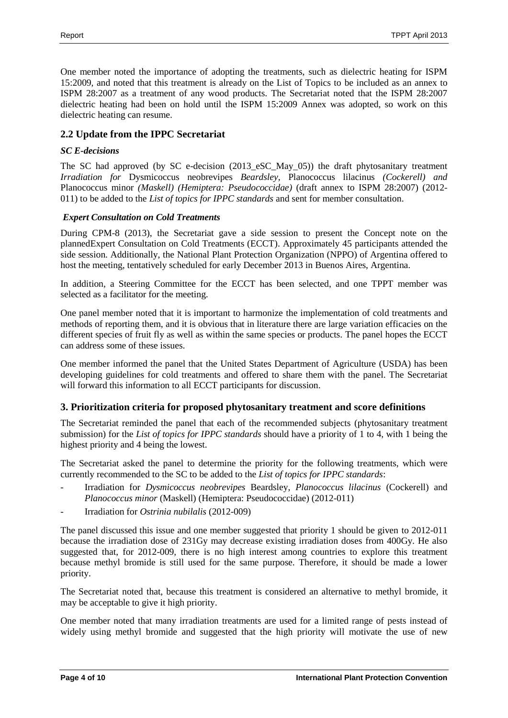One member noted the importance of adopting the treatments, such as dielectric heating for ISPM 15:2009, and noted that this treatment is already on the List of Topics to be included as an annex to ISPM 28:2007 as a treatment of any wood products. The Secretariat noted that the ISPM 28:2007 dielectric heating had been on hold until the ISPM 15:2009 Annex was adopted, so work on this dielectric heating can resume.

# <span id="page-3-0"></span>**2.2 Update from the IPPC Secretariat**

#### *SC E-decisions*

The SC had approved (by SC e-decision (2013\_eSC\_May\_05)) the draft phytosanitary treatment *Irradiation for* Dysmicoccus neobrevipes *Beardsley,* Planococcus lilacinus *(Cockerell) and*  Planococcus minor *(Maskell) (Hemiptera: Pseudococcidae)* (draft annex to ISPM 28:2007) (2012- 011) to be added to the *List of topics for IPPC standards* and sent for member consultation.

#### *Expert Consultation on Cold Treatments*

During CPM-8 (2013), the Secretariat gave a side session to present the Concept note on the plannedExpert Consultation on Cold Treatments (ECCT). Approximately 45 participants attended the side session. Additionally, the National Plant Protection Organization (NPPO) of Argentina offered to host the meeting, tentatively scheduled for early December 2013 in Buenos Aires, Argentina.

In addition, a Steering Committee for the ECCT has been selected, and one TPPT member was selected as a facilitator for the meeting.

One panel member noted that it is important to harmonize the implementation of cold treatments and methods of reporting them, and it is obvious that in literature there are large variation efficacies on the different species of fruit fly as well as within the same species or products. The panel hopes the ECCT can address some of these issues.

One member informed the panel that the United States Department of Agriculture (USDA) has been developing guidelines for cold treatments and offered to share them with the panel. The Secretariat will forward this information to all ECCT participants for discussion.

# <span id="page-3-1"></span>**3. Prioritization criteria for proposed phytosanitary treatment and score definitions**

The Secretariat reminded the panel that each of the recommended subjects (phytosanitary treatment submission) for the *List of topics for IPPC standards* should have a priority of 1 to 4, with 1 being the highest priority and 4 being the lowest.

The Secretariat asked the panel to determine the priority for the following treatments, which were currently recommended to the SC to be added to the *List of topics for IPPC standards*:

- Irradiation for *Dysmicoccus neobrevipes* Beardsley, *Planococcus lilacinus* (Cockerell) and *Planococcus minor* (Maskell) (Hemiptera: Pseudococcidae) (2012-011)
- Irradiation for *Ostrinia nubilalis* (2012-009)

The panel discussed this issue and one member suggested that priority 1 should be given to 2012-011 because the irradiation dose of 231Gy may decrease existing irradiation doses from 400Gy. He also suggested that, for 2012-009, there is no high interest among countries to explore this treatment because methyl bromide is still used for the same purpose. Therefore, it should be made a lower priority.

The Secretariat noted that, because this treatment is considered an alternative to methyl bromide, it may be acceptable to give it high priority.

One member noted that many irradiation treatments are used for a limited range of pests instead of widely using methyl bromide and suggested that the high priority will motivate the use of new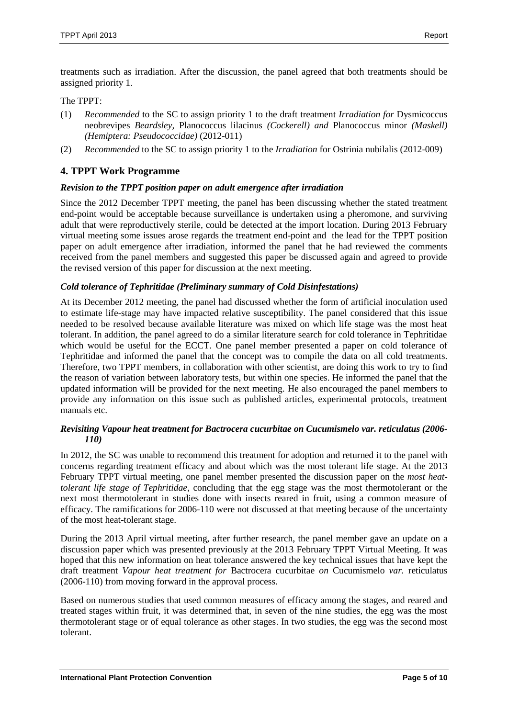treatments such as irradiation. After the discussion, the panel agreed that both treatments should be assigned priority 1.

The TPPT:

- (1) *Recommended* to the SC to assign priority 1 to the draft treatment *Irradiation for* Dysmicoccus neobrevipes *Beardsley,* Planococcus lilacinus *(Cockerell) and* Planococcus minor *(Maskell) (Hemiptera: Pseudococcidae)* (2012-011)
- (2) *Recommended* to the SC to assign priority 1 to the *Irradiation* for Ostrinia nubilalis (2012-009)

# <span id="page-4-0"></span>**4. TPPT Work Programme**

#### *Revision to the TPPT position paper on adult emergence after irradiation*

Since the 2012 December TPPT meeting, the panel has been discussing whether the stated treatment end-point would be acceptable because surveillance is undertaken using a pheromone, and surviving adult that were reproductively sterile, could be detected at the import location. During 2013 February virtual meeting some issues arose regards the treatment end-point and the lead for the TPPT position paper on adult emergence after irradiation, informed the panel that he had reviewed the comments received from the panel members and suggested this paper be discussed again and agreed to provide the revised version of this paper for discussion at the next meeting.

#### *Cold tolerance of Tephritidae (Preliminary summary of Cold Disinfestations)*

At its December 2012 meeting, the panel had discussed whether the form of artificial inoculation used to estimate life-stage may have impacted relative susceptibility. The panel considered that this issue needed to be resolved because available literature was mixed on which life stage was the most heat tolerant. In addition, the panel agreed to do a similar literature search for cold tolerance in Tephritidae which would be useful for the ECCT. One panel member presented a paper on cold tolerance of Tephritidae and informed the panel that the concept was to compile the data on all cold treatments. Therefore, two TPPT members, in collaboration with other scientist, are doing this work to try to find the reason of variation between laboratory tests, but within one species. He informed the panel that the updated information will be provided for the next meeting. He also encouraged the panel members to provide any information on this issue such as published articles, experimental protocols, treatment manuals etc.

#### *Revisiting Vapour heat treatment for Bactrocera cucurbitae on Cucumismelo var. reticulatus (2006- 110)*

In 2012, the SC was unable to recommend this treatment for adoption and returned it to the panel with concerns regarding treatment efficacy and about which was the most tolerant life stage. At the 2013 February TPPT virtual meeting, one panel member presented the discussion paper on the *most heattolerant life stage of Tephritidae*, concluding that the egg stage was the most thermotolerant or the next most thermotolerant in studies done with insects reared in fruit, using a common measure of efficacy. The ramifications for 2006-110 were not discussed at that meeting because of the uncertainty of the most heat-tolerant stage.

During the 2013 April virtual meeting, after further research, the panel member gave an update on a discussion paper which was presented previously at the 2013 February TPPT Virtual Meeting. It was hoped that this new information on heat tolerance answered the key technical issues that have kept the draft treatment *Vapour heat treatment for* Bactrocera cucurbitae *on* Cucumismelo *var.* reticulatus (2006-110) from moving forward in the approval process.

Based on numerous studies that used common measures of efficacy among the stages, and reared and treated stages within fruit, it was determined that, in seven of the nine studies, the egg was the most thermotolerant stage or of equal tolerance as other stages. In two studies, the egg was the second most tolerant.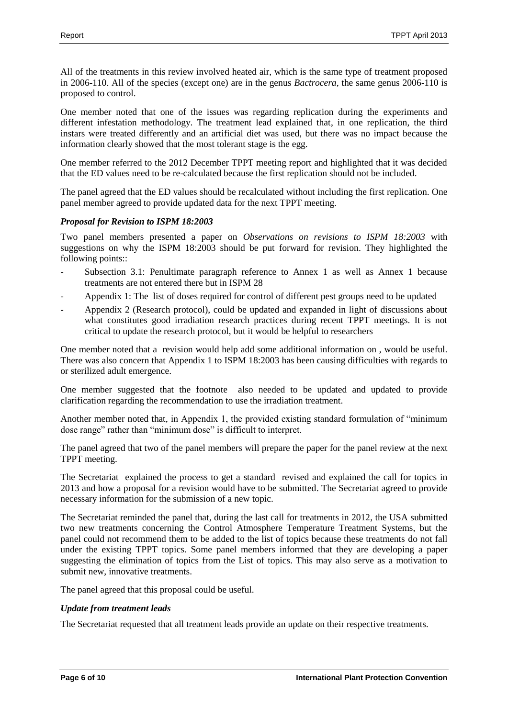All of the treatments in this review involved heated air, which is the same type of treatment proposed in 2006-110. All of the species (except one) are in the genus *Bactrocera*, the same genus 2006-110 is proposed to control.

One member noted that one of the issues was regarding replication during the experiments and different infestation methodology. The treatment lead explained that, in one replication, the third instars were treated differently and an artificial diet was used, but there was no impact because the information clearly showed that the most tolerant stage is the egg.

One member referred to the 2012 December TPPT meeting report and highlighted that it was decided that the ED values need to be re-calculated because the first replication should not be included.

The panel agreed that the ED values should be recalculated without including the first replication. One panel member agreed to provide updated data for the next TPPT meeting.

#### *Proposal for Revision to ISPM 18:2003*

Two panel members presented a paper on *Observations on revisions to ISPM 18:2003* with suggestions on why the ISPM 18:2003 should be put forward for revision. They highlighted the following points::

- Subsection 3.1: Penultimate paragraph reference to Annex 1 as well as Annex 1 because treatments are not entered there but in ISPM 28
- Appendix 1: The list of doses required for control of different pest groups need to be updated
- Appendix 2 (Research protocol), could be updated and expanded in light of discussions about what constitutes good irradiation research practices during recent TPPT meetings. It is not critical to update the research protocol, but it would be helpful to researchers

One member noted that a revision would help add some additional information on , would be useful. There was also concern that Appendix 1 to ISPM 18:2003 has been causing difficulties with regards to or sterilized adult emergence.

One member suggested that the footnote also needed to be updated and updated to provide clarification regarding the recommendation to use the irradiation treatment.

Another member noted that, in Appendix 1, the provided existing standard formulation of "minimum dose range" rather than "minimum dose" is difficult to interpret.

The panel agreed that two of the panel members will prepare the paper for the panel review at the next TPPT meeting.

The Secretariat explained the process to get a standard revised and explained the call for topics in 2013 and how a proposal for a revision would have to be submitted. The Secretariat agreed to provide necessary information for the submission of a new topic.

The Secretariat reminded the panel that, during the last call for treatments in 2012, the USA submitted two new treatments concerning the Control Atmosphere Temperature Treatment Systems, but the panel could not recommend them to be added to the list of topics because these treatments do not fall under the existing TPPT topics. Some panel members informed that they are developing a paper suggesting the elimination of topics from the List of topics. This may also serve as a motivation to submit new, innovative treatments.

The panel agreed that this proposal could be useful.

#### *Update from treatment leads*

The Secretariat requested that all treatment leads provide an update on their respective treatments.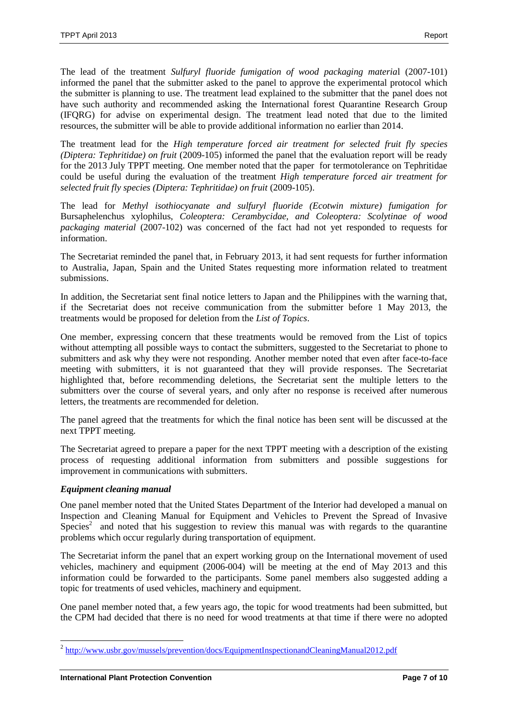The lead of the treatment *Sulfuryl fluoride fumigation of wood packaging materia*l (2007-101) informed the panel that the submitter asked to the panel to approve the experimental protocol which the submitter is planning to use. The treatment lead explained to the submitter that the panel does not have such authority and recommended asking the International forest Quarantine Research Group (IFQRG) for advise on experimental design. The treatment lead noted that due to the limited resources, the submitter will be able to provide additional information no earlier than 2014.

The treatment lead for the *High temperature forced air treatment for selected fruit fly species (Diptera: Tephritidae) on fruit* (2009-105) informed the panel that the evaluation report will be ready for the 2013 July TPPT meeting. One member noted that the paper for termotolerance on Tephritidae could be useful during the evaluation of the treatment *High temperature forced air treatment for selected fruit fly species (Diptera: Tephritidae) on fruit* (2009-105).

The lead for *Methyl isothiocyanate and sulfuryl fluoride (Ecotwin mixture) fumigation for*  Bursaphelenchus xylophilus, *Coleoptera: Cerambycidae, and Coleoptera: Scolytinae of wood packaging material* (2007-102) was concerned of the fact had not yet responded to requests for information.

The Secretariat reminded the panel that, in February 2013, it had sent requests for further information to Australia, Japan, Spain and the United States requesting more information related to treatment submissions.

In addition, the Secretariat sent final notice letters to Japan and the Philippines with the warning that, if the Secretariat does not receive communication from the submitter before 1 May 2013, the treatments would be proposed for deletion from the *List of Topics*.

One member, expressing concern that these treatments would be removed from the List of topics without attempting all possible ways to contact the submitters, suggested to the Secretariat to phone to submitters and ask why they were not responding. Another member noted that even after face-to-face meeting with submitters, it is not guaranteed that they will provide responses. The Secretariat highlighted that, before recommending deletions, the Secretariat sent the multiple letters to the submitters over the course of several years, and only after no response is received after numerous letters, the treatments are recommended for deletion.

The panel agreed that the treatments for which the final notice has been sent will be discussed at the next TPPT meeting.

The Secretariat agreed to prepare a paper for the next TPPT meeting with a description of the existing process of requesting additional information from submitters and possible suggestions for improvement in communications with submitters.

#### *Equipment cleaning manual*

One panel member noted that the United States Department of the Interior had developed a manual on Inspection and Cleaning Manual for Equipment and Vehicles to Prevent the Spread of Invasive Species<sup>2</sup> and noted that his suggestion to review this manual was with regards to the quarantine problems which occur regularly during transportation of equipment.

The Secretariat inform the panel that an expert working group on the International movement of used vehicles, machinery and equipment (2006-004) will be meeting at the end of May 2013 and this information could be forwarded to the participants. Some panel members also suggested adding a topic for treatments of used vehicles, machinery and equipment.

One panel member noted that, a few years ago, the topic for wood treatments had been submitted, but the CPM had decided that there is no need for wood treatments at that time if there were no adopted

<sup>&</sup>lt;sup>2</sup> <http://www.usbr.gov/mussels/prevention/docs/EquipmentInspectionandCleaningManual2012.pdf>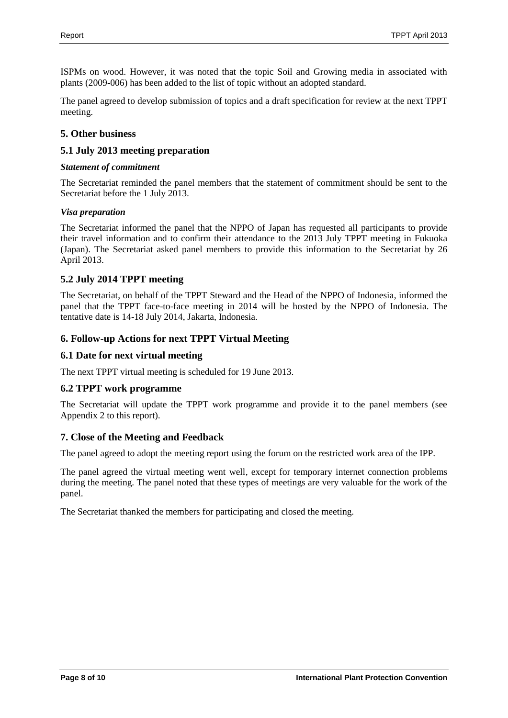ISPMs on wood. However, it was noted that the topic Soil and Growing media in associated with plants (2009-006) has been added to the list of topic without an adopted standard.

The panel agreed to develop submission of topics and a draft specification for review at the next TPPT meeting.

# <span id="page-7-0"></span>**5. Other business**

# <span id="page-7-1"></span>**5.1 July 2013 meeting preparation**

#### *Statement of commitment*

The Secretariat reminded the panel members that the statement of commitment should be sent to the Secretariat before the 1 July 2013.

#### *Visa preparation*

The Secretariat informed the panel that the NPPO of Japan has requested all participants to provide their travel information and to confirm their attendance to the 2013 July TPPT meeting in Fukuoka (Japan). The Secretariat asked panel members to provide this information to the Secretariat by 26 April 2013.

# <span id="page-7-2"></span>**5.2 July 2014 TPPT meeting**

The Secretariat, on behalf of the TPPT Steward and the Head of the NPPO of Indonesia, informed the panel that the TPPT face-to-face meeting in 2014 will be hosted by the NPPO of Indonesia. The tentative date is 14-18 July 2014, Jakarta, Indonesia.

# <span id="page-7-3"></span>**6. Follow-up Actions for next TPPT Virtual Meeting**

# <span id="page-7-4"></span>**6.1 Date for next virtual meeting**

The next TPPT virtual meeting is scheduled for 19 June 2013.

# <span id="page-7-5"></span>**6.2 TPPT work programme**

The Secretariat will update the TPPT work programme and provide it to the panel members (see Appendix 2 to this report).

# <span id="page-7-6"></span>**7. Close of the Meeting and Feedback**

The panel agreed to adopt the meeting report using the forum on the restricted work area of the IPP.

The panel agreed the virtual meeting went well, except for temporary internet connection problems during the meeting. The panel noted that these types of meetings are very valuable for the work of the panel.

The Secretariat thanked the members for participating and closed the meeting.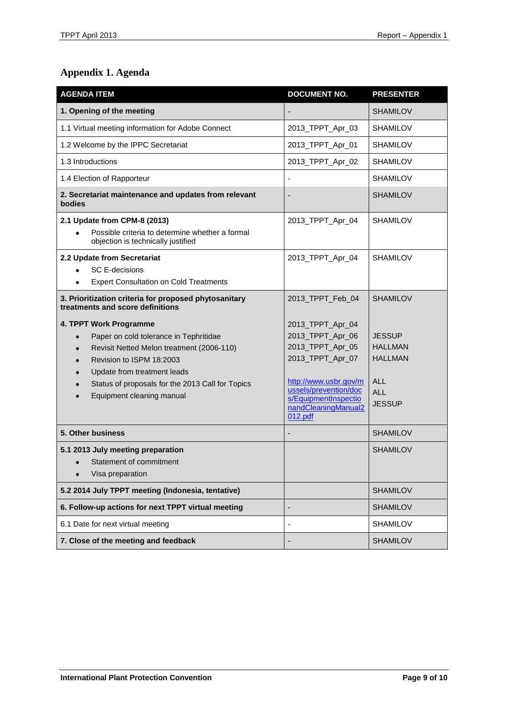# <span id="page-8-0"></span>**Appendix 1. Agenda**

| <b>AGENDA ITEM</b>                                                                                                                                                                                                                                                                               | <b>DOCUMENT NO.</b>                                                                                                                                                                      | <b>PRESENTER</b>                                                                               |
|--------------------------------------------------------------------------------------------------------------------------------------------------------------------------------------------------------------------------------------------------------------------------------------------------|------------------------------------------------------------------------------------------------------------------------------------------------------------------------------------------|------------------------------------------------------------------------------------------------|
| 1. Opening of the meeting                                                                                                                                                                                                                                                                        |                                                                                                                                                                                          | <b>SHAMILOV</b>                                                                                |
| 1.1 Virtual meeting information for Adobe Connect                                                                                                                                                                                                                                                | 2013_TPPT_Apr_03                                                                                                                                                                         | <b>SHAMILOV</b>                                                                                |
| 1.2 Welcome by the IPPC Secretariat                                                                                                                                                                                                                                                              | 2013_TPPT_Apr_01                                                                                                                                                                         | <b>SHAMILOV</b>                                                                                |
| 1.3 Introductions                                                                                                                                                                                                                                                                                | 2013_TPPT_Apr_02                                                                                                                                                                         | <b>SHAMILOV</b>                                                                                |
| 1.4 Election of Rapporteur                                                                                                                                                                                                                                                                       |                                                                                                                                                                                          | <b>SHAMILOV</b>                                                                                |
| 2. Secretariat maintenance and updates from relevant<br>bodies                                                                                                                                                                                                                                   |                                                                                                                                                                                          | <b>SHAMILOV</b>                                                                                |
| 2.1 Update from CPM-8 (2013)<br>Possible criteria to determine whether a formal<br>objection is technically justified                                                                                                                                                                            | 2013_TPPT_Apr_04                                                                                                                                                                         | <b>SHAMILOV</b>                                                                                |
| 2.2 Update from Secretariat<br><b>SC E-decisions</b><br><b>Expert Consultation on Cold Treatments</b><br>٠                                                                                                                                                                                       | 2013_TPPT_Apr_04                                                                                                                                                                         | <b>SHAMILOV</b>                                                                                |
| 3. Prioritization criteria for proposed phytosanitary<br>treatments and score definitions                                                                                                                                                                                                        | 2013_TPPT_Feb_04                                                                                                                                                                         | <b>SHAMILOV</b>                                                                                |
| 4. TPPT Work Programme<br>Paper on cold tolerance in Tephritidae<br>$\bullet$<br>Revisit Netted Melon treatment (2006-110)<br>$\bullet$<br>Revision to ISPM 18:2003<br>$\bullet$<br>Update from treatment leads<br>Status of proposals for the 2013 Call for Topics<br>Equipment cleaning manual | 2013_TPPT_Apr_04<br>2013_TPPT_Apr_06<br>2013_TPPT_Apr_05<br>2013_TPPT_Apr_07<br>http://www.usbr.gov/m<br>ussels/prevention/doc<br>s/EquipmentInspectio<br>nandCleaningManual2<br>012.pdf | <b>JESSUP</b><br><b>HALLMAN</b><br><b>HALLMAN</b><br><b>ALL</b><br><b>ALL</b><br><b>JESSUP</b> |
| 5. Other business                                                                                                                                                                                                                                                                                |                                                                                                                                                                                          | <b>SHAMILOV</b>                                                                                |
| 5.1 2013 July meeting preparation<br>Statement of commitment<br>$\bullet$<br>Visa preparation                                                                                                                                                                                                    |                                                                                                                                                                                          | <b>SHAMILOV</b>                                                                                |
| 5.2 2014 July TPPT meeting (Indonesia, tentative)                                                                                                                                                                                                                                                |                                                                                                                                                                                          | <b>SHAMILOV</b>                                                                                |
| 6. Follow-up actions for next TPPT virtual meeting                                                                                                                                                                                                                                               |                                                                                                                                                                                          | <b>SHAMILOV</b>                                                                                |
| 6.1 Date for next virtual meeting                                                                                                                                                                                                                                                                | $\overline{\phantom{a}}$                                                                                                                                                                 | <b>SHAMILOV</b>                                                                                |
| 7. Close of the meeting and feedback                                                                                                                                                                                                                                                             | -                                                                                                                                                                                        | <b>SHAMILOV</b>                                                                                |